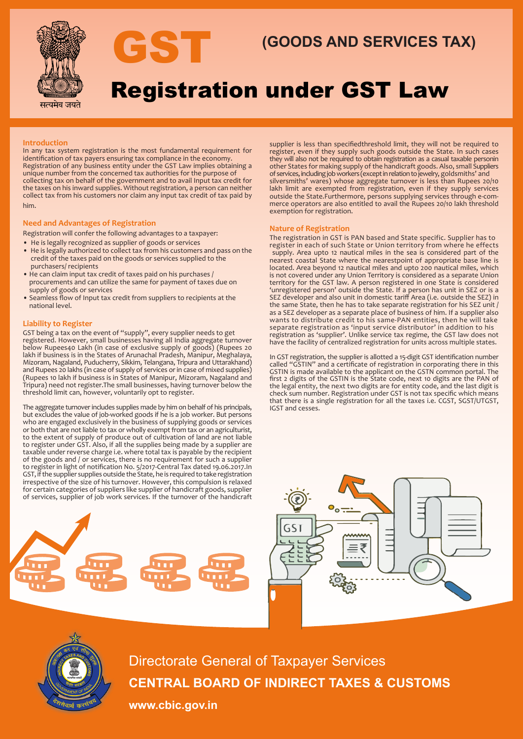

# **GST (GOODS AND SERVICES TAX)**

# Registration under GST Law

### **Introduction**

In any tax system registration is the most fundamental requirement for identification of tax payers ensuring tax compliance in the economy. Registration of any business entity under the GST Law implies obtaining a unique number from the concerned tax authorities for the purpose of collecting tax on behalf of the government and to avail Input tax credit for the taxes on his inward supplies. Without registration, a person can neither collect tax from his customers nor claim any input tax credit of tax paid by him.

### **Need and Advantages of Registration**

Registration will confer the following advantages to a taxpayer:

- He is legally recognized as supplier of goods or services
- He is legally authorized to collect tax from his customers and pass on the credit of the taxes paid on the goods or services supplied to the purchasers/ recipients
- He can claim input tax credit of taxes paid on his purchases / procurements and can utilize the same for payment of taxes due on supply of goods or services
- Seamless flow of Input tax credit from suppliers to recipients at the national level.

### **Liability to Register**

GST being a tax on the event of "supply", every supplier needs to get registered. However, small businesses having all India aggregate turnover below Rupees40 Lakh (in case of exclusive supply of goods) (Rupees 20 lakh if business is in the States of Arunachal Pradesh, Manipur, Meghalaya, Mizoram, Nagaland, Puducherry, Sikkim, Telangana, Tripura and Uttarakhand) and Rupees 20 lakhs (in case of supply of services or in case of mixed supplies) (Rupees 10 lakh if business is in States of Manipur, Mizoram, Nagaland and Tripura) need not register.The small businesses, having turnover below the threshold limit can, however, voluntarily opt to register.

The aggregate turnover includes supplies made by him on behalf of his principals, but excludes the value of job-worked goods if he is a job worker. But persons who are engaged exclusively in the business of supplying goods or services or both that are not liable to tax or wholly exempt from tax or an agriculturist, to the extent of supply of produce out of cultivation of land are not liable to register under GST. Also, if all the supplies being made by a supplier are taxable under reverse charge i.e. where total tax is payable by the recipient of the goods and / or services, there is no requirement for such a supplier to register in light of notification No. 5/2017-Central Tax dated 19.06.2017.In GST, if the supplier supplies outside the State, he is required to take registration irrespective of the size of his turnover. However, this compulsion is relaxed for certain categories of suppliers like supplier of handicraft goods, supplier of services, supplier of job work services. If the turnover of the handicraft



supplier is less than specifiedthreshold limit, they will not be required to register, even if they supply such goods outside the State. In such cases they will also not be required to obtain registration as a casual taxable personin other States for making supply of the handicraft goods. Also, small Suppliers of services, including job workers (except in relation to jewelry, goldsmiths' and silversmiths' wares) whose aggregate turnover is less than Rupees 20/10 lakh limit are exempted from registration, even if they supply services outside the State.Furthermore, persons supplying services through e-commerce operators are also entitled to avail the Rupees 20/10 lakh threshold exemption for registration.

#### **Nature of Registration**

The registration in GST is PAN based and State specific. Supplier has to register in each of such State or Union territory from where he effects supply. Area upto 12 nautical miles in the sea is considered part of the nearest coastal State where the nearestpoint of appropriate base line is located. Area beyond 12 nautical miles and upto 200 nautical miles, which is not covered under any Union Territory is considered as a separate Union territory for the GST law. A person registered in one State is considered 'unregistered person' outside the State. If a person has unit in SEZ or is a SEZ developer and also unit in domestic tariff Area (i.e. outside the SEZ) in the same State, then he has to take separate registration for his SEZ unit / as a SEZ developer as a separate place of business of him. If a supplier also wants to distribute credit to his same-PAN entities, then he will take separate registration as 'input service distributor' in addition to his registration as 'supplier'. Unlike service tax regime, the GST law does not have the facility of centralized registration for units across multiple states.

In GST registration, the supplier is allotted a 15-digit GST identification number called "GSTIN" and a certificate of registration in corporating there in this GSTIN is made available to the applicant on the GSTN common portal. The first 2 digits of the GSTIN is the State code, next 10 digits are the PAN of the legal entity, the next two digits are for entity code, and the last digit is check sum number. Registration under GST is not tax specific which means that there is a single registration for all the taxes i.e. CGST, SGST/UTGST, IGST and cesses.





Directorate General of Taxpayer Services **CENTRAL BOARD OF INDIRECT TAXES & CUSTOMS**

**www.cbic.gov.in**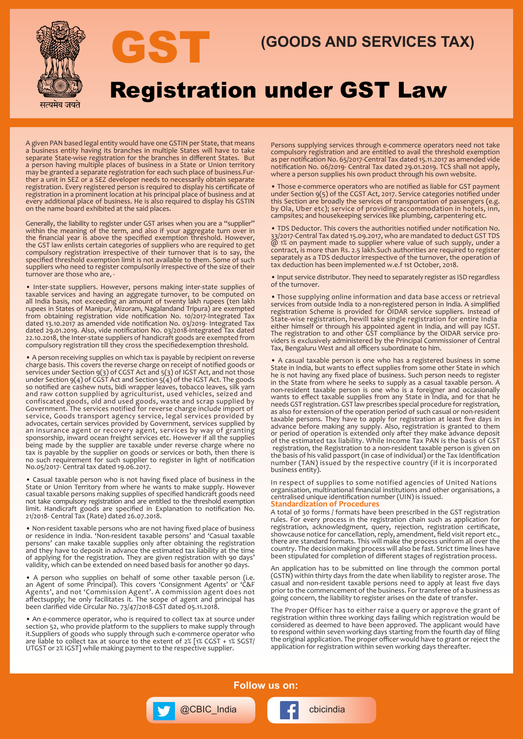

# **GST (GOODS AND SERVICES TAX)**

# Registration under GST Law

A given PAN based legal entity would have one GSTIN per State, that means a business entity having its branches in multiple States will have to take separate State-wise registration for the branches in different States. But a person having multiple places of business in a State or Union territory may be granted a separate registration for each such place of business.Further a unit in SEZ or a SEZ developer needs to necessarily obtain separate registration. Every registered person is required to display his certificate of registration in a prominent location at his principal place of business and at every additional place of business. He is also required to display his GSTIN on the name board exhibited at the said places.

Generally, the liability to register under GST arises when you are a "supplier" within the meaning of the term, and also if your aggregate turn over in the financial year is above the specified exemption threshold. However, the GST law enlists certain categories of suppliers who are required to get compulsory registration irrespective of their turnover that is to say, the specified threshold exemption limit is not available to them. Some of such suppliers who need to register compulsorily irrespective of the size of their turnover are those who are, -

• Inter-state suppliers. However, persons making inter-state supplies of taxable services and having an aggregate turnover, to be computed on all India basis, not exceeding an amount of twenty lakh rupees (ten lakh rupees in States of Manipur, Mizoram, Nagalandand Tripura) are exempted from obtaining registration vide notification No. 10/2017-Integrated Tax dated 13.10.2017 as amended vide notification No. 03/2019- Integrated Tax dated 29.01.2019. Also, vide notification No. 03/2018-Integrated Tax dated 22.10.2018, the Inter-state suppliers of handicraft goods are exempted from compulsory registration till they cross the specifiedexemption threshold.

• A person receiving supplies on which tax is payable by recipient on reverse charge basis. This covers the reverse charge on receipt of notified goods or services under Section 9(3) of CGST Act and 5(3) of IGST Act, and not those under Section 9(4) of CGST Act and Section 5(4) of the IGST Act. The goods so notified are cashew nuts, bidi wrapper leaves, tobacco leaves, silk yarn and raw cotton supplied by agriculturist, used vehicles, seized and confiscated goods, old and used goods, waste and scrap supplied by Government. The services notified for reverse charge include import of service, Goods transport agency service, legal services provided by advocates, certain services provided by Government, services supplied by an insurance agent or recovery agent, services by way of granting sponsorship, inward ocean freight services etc. However if all the supplies being made by the supplier are taxable under reverse charge where no tax is payable by the supplier on goods or services or both, then there is no such requirement for such supplier to register in light of notification No.05/2017- Central tax dated 19.06.2017.

• Casual taxable person who is not having fixed place of business in the State or Union Territory from where he wants to make supply. However casual taxable persons making supplies of specified handicraft goods need not take compulsory registration and are entitled to the threshold exemption limit. Handicraft goods are specified in Explanation to notification No. 21/2018- Central Tax (Rate) dated 26.07.2018.

• Non-resident taxable persons who are not having fixed place of business or residence in India. 'Non-resident taxable persons' and 'Casual taxable persons' can make taxable supplies only after obtaining the registration and they have to deposit in advance the estimated tax liability at the time of applying for the registration. They are given registration with 90 days' validity, which can be extended on need based basis for another 90 days.

• A person who supplies on behalf of some other taxable person (i.e. an Agent of some Principal). This covers 'Consignment Agents' or 'C&F Agents', and not 'Commission Agent'. A commission agent does not affectsupply; he only facilitates it. The scope of agent and principal has been clarified vide Circular No. 73/47/2018-GST dated 05.11.2018.

• An e-commerce operator, who is required to collect tax at source under section 52, who provide platform to the suppliers to make supply through it.Suppliers of goods who supply through such e-commerce operator who are liable to collect tax at source to the extent of 2% [1% CGST + 1% SGST/ UTGST or 2% IGST] while making payment to the respective supplier.

Persons supplying services through e-commerce operators need not take compulsory registration and are entitled to avail the threshold exemption as per notification No. 65/2017-Central Tax dated 15.11.2017 as amended vide notification No. 06/2019- Central Tax dated 29.01.2019. TCS shall not apply, where a person supplies his own product through his own website.

• Those e-commerce operators who are notified as liable for GST payment under Section 9(5) of the CGST Act, 2017. Service categories notified under this Section are broadly the services of transportation of passengers (e.g. by Ola, Uber etc); service of providing accommodation in hotels, inn, campsites; and housekeeping services like plumbing, carpentering etc.

• TDS Deductor. This covers the authorities notified under notification No. 33/2017-Central Tax dated 15.09.2017, who are mandated to deduct GST TDS @ 1% on payment made to supplier where value of such supply, under a contract, is more than Rs. 2.5 lakh.Such authorities are required to register separately as a TDS deductor irrespective of the turnover, the operation of tax deduction has been implemented w.e.f 1st October, 2018.

• Input service distributor. They need to separately register as ISD regardless of the turnover.

• Those supplying online information and data base access or retrieval services from outside India to a non-registered person in India. A simplified registration Scheme is provided for OIDAR service suppliers. Instead of State-wise registration, hewill take single registration for entire India either himself or through his appointed agent in India, and will pay IGST. The registration to and other GST compliance by the OIDAR service providers is exclusively administered by the Principal Commissioner of Central Tax, Bengaluru West and all officers subordinate to him.

• A casual taxable person is one who has a registered business in some State in India, but wants to effect supplies from some other State in which he is not having any fixed place of business. Such person needs to register in the State from where he seeks to supply as a casual taxable person. A non-resident taxable person is one who is a foreigner and occasionally wants to effect taxable supplies from any State in India, and for that he needs GST registration. GST law prescribes special procedure for registration, as also for extension of the operation period of such casual or non-resident taxable persons. They have to apply for registration at least five days in advance before making any supply. Also, registration is granted to them or period of operation is extended only after they make advance deposit of the estimated tax liability. While Income Tax PAN is the basis of GST registration, the Registration to a non-resident taxable person is given on the basis of his valid passport (in case of individual) or the Tax Identification number (TAN) issued by the respective country (if it is incorporated business entity).

In respect of supplies to some notified agencies of United Nations organisation, multinational financial institutions and other organisations, a centralised unique identification number (UIN) is issued. **Standardization of Procedures**

A total of 30 forms / formats have been prescribed in the GST registration rules. For every process in the registration chain such as application for registration, acknowledgment, query, rejection, registration certificate, showcause notice for cancellation, reply, amendment, field visit report etc., there are standard formats. This will make the process uniform all over the country. The decision making process will also be fast. Strict time lines have been stipulated for completion of different stages of registration process.

An application has to be submitted on line through the common portal (GSTN) within thirty days from the date when liability to register arose. The casual and non-resident taxable persons need to apply at least five days prior to the commencement of the business. For transferee of a business as going concern, the liability to register arises on the date of transfer.

The Proper Officer has to either raise a query or approve the grant of registration within three working days failing which registration would be considered as deemed to have been approved. The applicant would have to respond within seven working days starting from the fourth day of filing the original application. The proper officer would have to grant or reject the application for registration within seven working days thereafter.